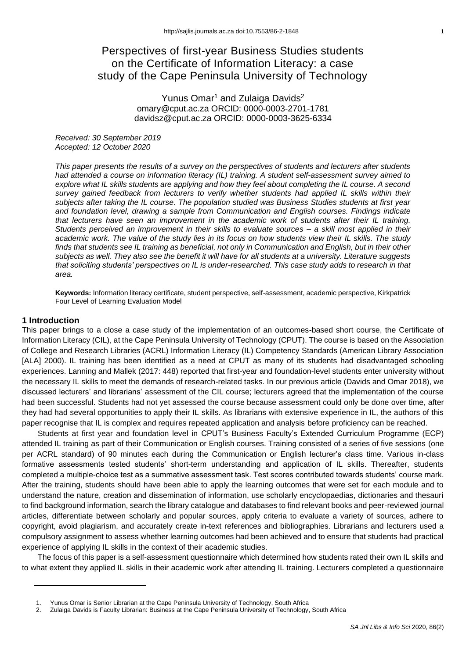# Perspectives of first-year Business Studies students on the Certificate of Information Literacy: a case study of the Cape Peninsula University of Technology

# Yunus Omar<sup>1</sup> and Zulaiga Davids<sup>2</sup> omary@cput.ac.za ORCID: 0000-0003-2701-1781 davidsz@cput.ac.za ORCID: 0000-0003-3625-6334

*Received: 30 September 2019 Accepted: 12 October 2020*

*This paper presents the results of a survey on the perspectives of students and lecturers after students had attended a course on information literacy (IL) training. A student self-assessment survey aimed to explore what IL skills students are applying and how they feel about completing the IL course. A second survey gained feedback from lecturers to verify whether students had applied IL skills within their subjects after taking the IL course. The population studied was Business Studies students at first year and foundation level, drawing a sample from Communication and English courses. Findings indicate that lecturers have seen an improvement in the academic work of students after their IL training. Students perceived an improvement in their skills to evaluate sources – a skill most applied in their academic work. The value of the study lies in its focus on how students view their IL skills. The study finds that students see IL training as beneficial, not only in Communication and English, but in their other subjects as well. They also see the benefit it will have for all students at a university. Literature suggests that soliciting students' perspectives on IL is under-researched. This case study adds to research in that area.*

**Keywords:** Information literacy certificate, student perspective, self-assessment, academic perspective, Kirkpatrick Four Level of Learning Evaluation Model

## **1 Introduction**

This paper brings to a close a case study of the implementation of an outcomes-based short course, the Certificate of Information Literacy (CIL), at the Cape Peninsula University of Technology (CPUT). The course is based on the Association of College and Research Libraries (ACRL) Information Literacy (IL) Competency Standards (American Library Association [ALA] 2000). IL training has been identified as a need at CPUT as many of its students had disadvantaged schooling experiences. Lanning and Mallek (2017: 448) reported that first-year and foundation-level students enter university without the necessary IL skills to meet the demands of research-related tasks. In our previous article (Davids and Omar 2018), we discussed lecturers' and librarians' assessment of the CIL course; lecturers agreed that the implementation of the course had been successful. Students had not yet assessed the course because assessment could only be done over time, after they had had several opportunities to apply their IL skills. As librarians with extensive experience in IL, the authors of this paper recognise that IL is complex and requires repeated application and analysis before proficiency can be reached.

Students at first year and foundation level in CPUT's Business Faculty's Extended Curriculum Programme (ECP) attended IL training as part of their Communication or English courses. Training consisted of a series of five sessions (one per ACRL standard) of 90 minutes each during the Communication or English lecturer's class time. Various in-class formative assessments tested students' short-term understanding and application of IL skills. Thereafter, students completed a multiple-choice test as a summative assessment task. Test scores contributed towards students' course mark. After the training, students should have been able to apply the learning outcomes that were set for each module and to understand the nature, creation and dissemination of information, use scholarly encyclopaedias, dictionaries and thesauri to find background information, search the library catalogue and databases to find relevant books and peer-reviewed journal articles, differentiate between scholarly and popular sources, apply criteria to evaluate a variety of sources, adhere to copyright, avoid plagiarism, and accurately create in-text references and bibliographies. Librarians and lecturers used a compulsory assignment to assess whether learning outcomes had been achieved and to ensure that students had practical experience of applying IL skills in the context of their academic studies.

The focus of this paper is a self-assessment questionnaire which determined how students rated their own IL skills and to what extent they applied IL skills in their academic work after attending IL training. Lecturers completed a questionnaire

Yunus Omar is Senior Librarian at the Cape Peninsula University of Technology, South Africa

<sup>2.</sup> Zulaiga Davids is Faculty Librarian: Business at the Cape Peninsula University of Technology, South Africa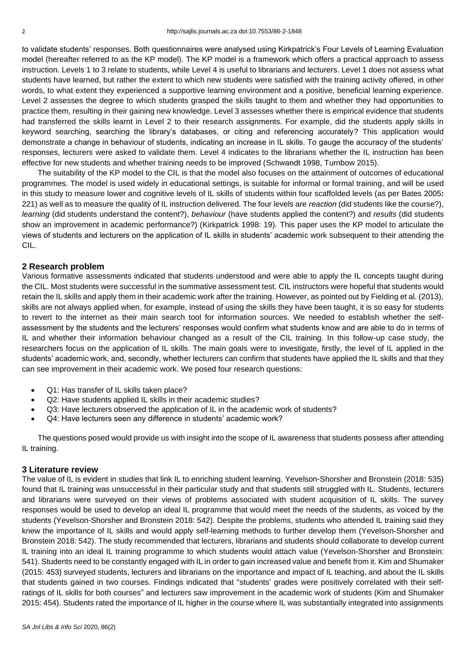to validate students' responses. Both questionnaires were analysed using Kirkpatrick's Four Levels of Learning Evaluation model (hereafter referred to as the KP model). The KP model is a framework which offers a practical approach to assess instruction. Levels 1 to 3 relate to students, while Level 4 is useful to librarians and lecturers. Level 1 does not assess what students have learned, but rather the extent to which new students were satisfied with the training activity offered, in other words, to what extent they experienced a supportive learning environment and a positive, beneficial learning experience. Level 2 assesses the degree to which students grasped the skills taught to them and whether they had opportunities to practice them, resulting in their gaining new knowledge. Level 3 assesses whether there is empirical evidence that students had transferred the skills learnt in Level 2 to their research assignments. For example, did the students apply skills in keyword searching, searching the library's databases, or citing and referencing accurately? This application would demonstrate a change in behaviour of students, indicating an increase in IL skills. To gauge the accuracy of the students' responses, lecturers were asked to validate them. Level 4 indicates to the librarians whether the IL instruction has been effective for new students and whether training needs to be improved (Schwandt 1998, Turnbow 2015).

The suitability of the KP model to the CIL is that the model also focuses on the attainment of outcomes of educational programmes. The model is used widely in educational settings, is suitable for informal or formal training, and will be used in this study to measure lower and cognitive levels of IL skills of students within four scaffolded levels (as per Bates 2005**:**  221) as well as to measure the quality of IL instruction delivered. The four levels are *reaction* (did students like the course?), *learning* (did students understand the content?), *behaviour* (have students applied the content?) and *results* (did students show an improvement in academic performance?) (Kirkpatrick 1998: 19). This paper uses the KP model to articulate the views of students and lecturers on the application of IL skills in students' academic work subsequent to their attending the CIL.

## **2 Research problem**

Various formative assessments indicated that students understood and were able to apply the IL concepts taught during the CIL. Most students were successful in the summative assessment test. CIL instructors were hopeful that students would retain the IL skills and apply them in their academic work after the training. However, as pointed out by Fielding et al. (2013), skills are not always applied when, for example, instead of using the skills they have been taught, it is so easy for students to revert to the internet as their main search tool for information sources. We needed to establish whether the selfassessment by the students and the lecturers' responses would confirm what students know and are able to do in terms of IL and whether their information behaviour changed as a result of the CIL training. In this follow-up case study, the researchers focus on the application of IL skills. The main goals were to investigate, firstly, the level of IL applied in the students' academic work, and, secondly, whether lecturers can confirm that students have applied the IL skills and that they can see improvement in their academic work. We posed four research questions:

- Q1: Has transfer of IL skills taken place?
- Q2: Have students applied IL skills in their academic studies?
- Q3: Have lecturers observed the application of IL in the academic work of students?
- Q4: Have lecturers seen any difference in students' academic work?

The questions posed would provide us with insight into the scope of IL awareness that students possess after attending IL training.

### **3 Literature review**

The value of IL is evident in studies that link IL to enriching student learning. Yevelson-Shorsher and Bronstein (2018: 535) found that IL training was unsuccessful in their particular study and that students still struggled with IL. Students, lecturers and librarians were surveyed on their views of problems associated with student acquisition of IL skills. The survey responses would be used to develop an ideal IL programme that would meet the needs of the students, as voiced by the students (Yevelson-Shorsher and Bronstein 2018: 542). Despite the problems, students who attended IL training said they knew the importance of IL skills and would apply self-learning methods to further develop them (Yevelson-Shorsher and Bronstein 2018: 542). The study recommended that lecturers, librarians and students should collaborate to develop current IL training into an ideal IL training programme to which students would attach value (Yevelson-Shorsher and Bronstein: 541). Students need to be constantly engaged with IL in order to gain increased value and benefit from it. Kim and Shumaker (2015: 453) surveyed students, lecturers and librarians on the importance and impact of IL teaching, and about the IL skills that students gained in two courses. Findings indicated that "students' grades were positively correlated with their selfratings of IL skills for both courses" and lecturers saw improvement in the academic work of students (Kim and Shumaker 2015: 454). Students rated the importance of IL higher in the course where IL was substantially integrated into assignments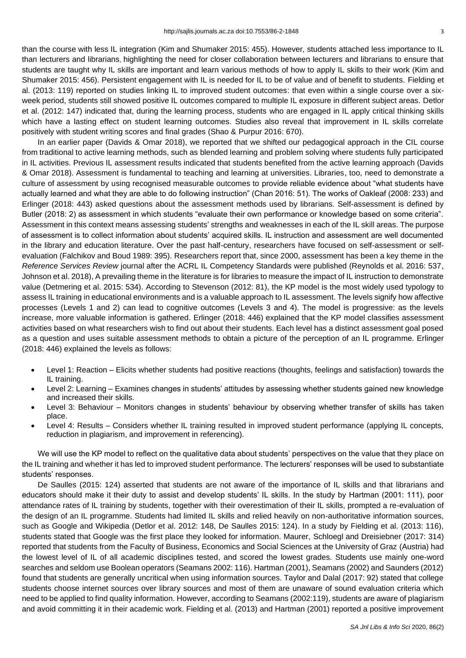than the course with less IL integration (Kim and Shumaker 2015: 455). However, students attached less importance to IL than lecturers and librarians, highlighting the need for closer collaboration between lecturers and librarians to ensure that students are taught why IL skills are important and learn various methods of how to apply IL skills to their work (Kim and Shumaker 2015: 456). Persistent engagement with IL is needed for IL to be of value and of benefit to students. Fielding et al. (2013: 119) reported on studies linking IL to improved student outcomes: that even within a single course over a sixweek period, students still showed positive IL outcomes compared to multiple IL exposure in different subject areas. Detlor et al. (2012: 147) indicated that, during the learning process, students who are engaged in IL apply critical thinking skills which have a lasting effect on student learning outcomes. Studies also reveal that improvement in IL skills correlate positively with student writing scores and final grades (Shao & Purpur 2016: 670).

In an earlier paper (Davids & Omar 2018), we reported that we shifted our pedagogical approach in the CIL course from traditional to active learning methods, such as blended learning and problem solving where students fully participated in IL activities. Previous IL assessment results indicated that students benefited from the active learning approach (Davids & Omar 2018). Assessment is fundamental to teaching and learning at universities. Libraries, too, need to demonstrate a culture of assessment by using recognised measurable outcomes to provide reliable evidence about "what students have actually learned and what they are able to do following instruction" (Chan 2016: 51). The works of Oakleaf (2008: 233) and Erlinger (2018: 443) asked questions about the assessment methods used by librarians. Self-assessment is defined by Butler (2018: 2) as assessment in which students "evaluate their own performance or knowledge based on some criteria". Assessment in this context means assessing students' strengths and weaknesses in each of the IL skill areas. The purpose of assessment is to collect information about students' acquired skills. IL instruction and assessment are well documented in the library and education literature. Over the past half-century, researchers have focused on self-assessment or selfevaluation (Falchikov and Boud 1989: 395). Researchers report that, since 2000, assessment has been a key theme in the *Reference Services Review* journal after the ACRL IL Competency Standards were published (Reynolds et al. 2016: 537, Johnson et al. 2018), A prevailing theme in the literature is for libraries to measure the impact of IL instruction to demonstrate value (Detmering et al. 2015: 534). According to Stevenson (2012: 81), the KP model is the most widely used typology to assess IL training in educational environments and is a valuable approach to IL assessment. The levels signify how affective processes (Levels 1 and 2) can lead to cognitive outcomes (Levels 3 and 4). The model is progressive: as the levels increase, more valuable information is gathered. Erlinger (2018: 446) explained that the KP model classifies assessment activities based on what researchers wish to find out about their students. Each level has a distinct assessment goal posed as a question and uses suitable assessment methods to obtain a picture of the perception of an IL programme. Erlinger (2018: 446) explained the levels as follows:

- Level 1: Reaction Elicits whether students had positive reactions (thoughts, feelings and satisfaction) towards the IL training.
- Level 2: Learning Examines changes in students' attitudes by assessing whether students gained new knowledge and increased their skills.
- Level 3: Behaviour Monitors changes in students' behaviour by observing whether transfer of skills has taken place.
- Level 4: Results Considers whether IL training resulted in improved student performance (applying IL concepts, reduction in plagiarism, and improvement in referencing).

We will use the KP model to reflect on the qualitative data about students' perspectives on the value that they place on the IL training and whether it has led to improved student performance. The lecturers' responses will be used to substantiate students' responses.

De Saulles (2015: 124) asserted that students are not aware of the importance of IL skills and that librarians and educators should make it their duty to assist and develop students' IL skills. In the study by Hartman (2001: 111), poor attendance rates of IL training by students, together with their overestimation of their IL skills, prompted a re-evaluation of the design of an IL programme. Students had limited IL skills and relied heavily on non-authoritative information sources, such as Google and Wikipedia (Detlor et al. 2012: 148, De Saulles 2015: 124). In a study by Fielding et al. (2013: 116), students stated that Google was the first place they looked for information. Maurer, Schloegl and Dreisiebner (2017: 314) reported that students from the Faculty of Business, Economics and Social Sciences at the University of Graz (Austria) had the lowest level of IL of all academic disciplines tested, and scored the lowest grades. Students use mainly one-word searches and seldom use Boolean operators (Seamans 2002: 116). Hartman (2001), Seamans (2002) and Saunders (2012) found that students are generally uncritical when using information sources. Taylor and Dalal (2017: 92) stated that college students choose internet sources over library sources and most of them are unaware of sound evaluation criteria which need to be applied to find quality information. However, according to Seamans (2002:119), students are aware of plagiarism and avoid committing it in their academic work. Fielding et al. (2013) and Hartman (2001) reported a positive improvement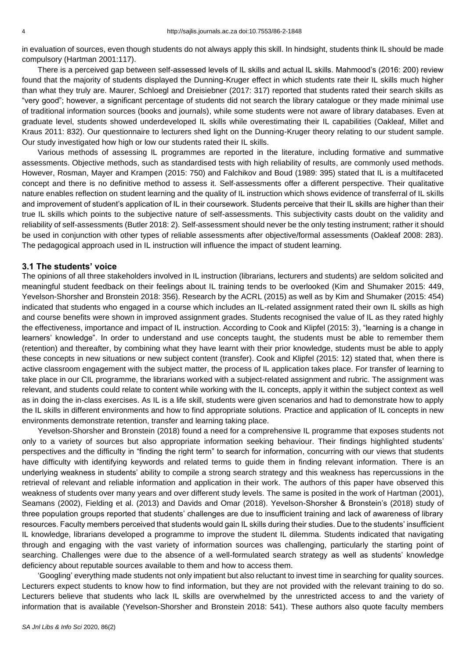in evaluation of sources, even though students do not always apply this skill. In hindsight, students think IL should be made compulsory (Hartman 2001:117).

There is a perceived gap between self-assessed levels of IL skills and actual IL skills. Mahmood's (2016: 200) review found that the majority of students displayed the Dunning-Kruger effect in which students rate their IL skills much higher than what they truly are. Maurer, Schloegl and Dreisiebner (2017: 317) reported that students rated their search skills as "very good"; however, a significant percentage of students did not search the library catalogue or they made minimal use of traditional information sources (books and journals), while some students were not aware of library databases. Even at graduate level, students showed underdeveloped IL skills while overestimating their IL capabilities (Oakleaf, Millet and Kraus 2011: 832). Our questionnaire to lecturers shed light on the Dunning-Kruger theory relating to our student sample. Our study investigated how high or low our students rated their IL skills.

Various methods of assessing IL programmes are reported in the literature, including formative and summative assessments. Objective methods, such as standardised tests with high reliability of results, are commonly used methods. However, Rosman, Mayer and Krampen (2015: 750) and Falchikov and Boud (1989: 395) stated that IL is a multifaceted concept and there is no definitive method to assess it. Self-assessments offer a different perspective. Their qualitative nature enables reflection on student learning and the quality of IL instruction which shows evidence of transferral of IL skills and improvement of student's application of IL in their coursework. Students perceive that their IL skills are higher than their true IL skills which points to the subjective nature of self-assessments. This subjectivity casts doubt on the validity and reliability of self-assessments (Butler 2018: 2). Self-assessment should never be the only testing instrument; rather it should be used in conjunction with other types of reliable assessments after objective/formal assessments (Oakleaf 2008: 283). The pedagogical approach used in IL instruction will influence the impact of student learning.

#### **3.1 The students' voice**

The opinions of all three stakeholders involved in IL instruction (librarians, lecturers and students) are seldom solicited and meaningful student feedback on their feelings about IL training tends to be overlooked (Kim and Shumaker 2015: 449, Yevelson-Shorsher and Bronstein 2018: 356). Research by the ACRL (2015) as well as by Kim and Shumaker (2015: 454) indicated that students who engaged in a course which includes an IL-related assignment rated their own IL skills as high and course benefits were shown in improved assignment grades. Students recognised the value of IL as they rated highly the effectiveness, importance and impact of IL instruction. According to Cook and Klipfel (2015: 3), "learning is a change in learners' knowledge". In order to understand and use concepts taught, the students must be able to remember them (retention) and thereafter, by combining what they have learnt with their prior knowledge, students must be able to apply these concepts in new situations or new subject content (transfer). Cook and Klipfel (2015: 12) stated that, when there is active classroom engagement with the subject matter, the process of IL application takes place. For transfer of learning to take place in our CIL programme, the librarians worked with a subject-related assignment and rubric. The assignment was relevant, and students could relate to content while working with the IL concepts, apply it within the subject context as well as in doing the in-class exercises. As IL is a life skill, students were given scenarios and had to demonstrate how to apply the IL skills in different environments and how to find appropriate solutions. Practice and application of IL concepts in new environments demonstrate retention, transfer and learning taking place.

Yevelson-Shorsher and Bronstein (2018) found a need for a comprehensive IL programme that exposes students not only to a variety of sources but also appropriate information seeking behaviour. Their findings highlighted students' perspectives and the difficulty in "finding the right term" to search for information, concurring with our views that students have difficulty with identifying keywords and related terms to guide them in finding relevant information. There is an underlying weakness in students' ability to compile a strong search strategy and this weakness has repercussions in the retrieval of relevant and reliable information and application in their work. The authors of this paper have observed this weakness of students over many years and over different study levels. The same is posited in the work of Hartman (2001), Seamans (2002), Fielding et al. (2013) and Davids and Omar (2018). Yevelson-Shorsher & Bronstein's (2018) study of three population groups reported that students' challenges are due to insufficient training and lack of awareness of library resources. Faculty members perceived that students would gain IL skills during their studies. Due to the students' insufficient IL knowledge, librarians developed a programme to improve the student IL dilemma. Students indicated that navigating through and engaging with the vast variety of information sources was challenging, particularly the starting point of searching. Challenges were due to the absence of a well-formulated search strategy as well as students' knowledge deficiency about reputable sources available to them and how to access them.

'Googling' everything made students not only impatient but also reluctant to invest time in searching for quality sources. Lecturers expect students to know how to find information, but they are not provided with the relevant training to do so. Lecturers believe that students who lack IL skills are overwhelmed by the unrestricted access to and the variety of information that is available (Yevelson-Shorsher and Bronstein 2018: 541). These authors also quote faculty members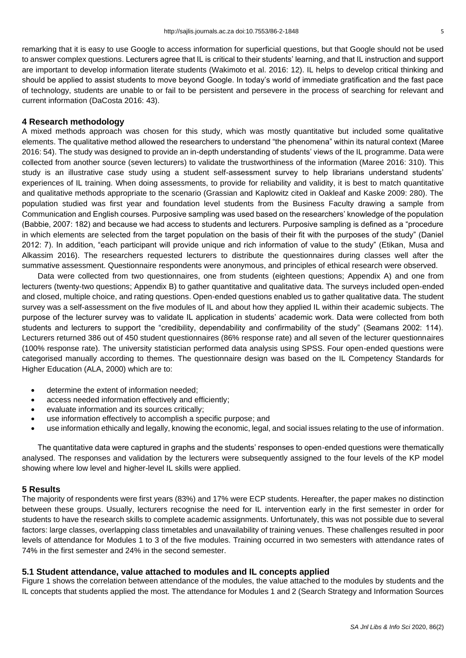remarking that it is easy to use Google to access information for superficial questions, but that Google should not be used to answer complex questions. Lecturers agree that IL is critical to their students' learning, and that IL instruction and support are important to develop information literate students (Wakimoto et al. 2016: 12). IL helps to develop critical thinking and should be applied to assist students to move beyond Google. In today's world of immediate gratification and the fast pace of technology, students are unable to or fail to be persistent and persevere in the process of searching for relevant and current information (DaCosta 2016: 43).

## **4 Research methodology**

A mixed methods approach was chosen for this study, which was mostly quantitative but included some qualitative elements. The qualitative method allowed the researchers to understand "the phenomena" within its natural context (Maree 2016: 54). The study was designed to provide an in-depth understanding of students' views of the IL programme. Data were collected from another source (seven lecturers) to validate the trustworthiness of the information (Maree 2016: 310). This study is an illustrative case study using a student self-assessment survey to help librarians understand students' experiences of IL training. When doing assessments, to provide for reliability and validity, it is best to match quantitative and qualitative methods appropriate to the scenario (Grassian and Kaplowitz cited in Oakleaf and Kaske 2009: 280). The population studied was first year and foundation level students from the Business Faculty drawing a sample from Communication and English courses. Purposive sampling was used based on the researchers' knowledge of the population (Babbie, 2007: 182) and because we had access to students and lecturers. Purposive sampling is defined as a "procedure in which elements are selected from the target population on the basis of their fit with the purposes of the study" (Daniel 2012: 7). In addition, "each participant will provide unique and rich information of value to the study" (Etikan, Musa and Alkassim 2016). The researchers requested lecturers to distribute the questionnaires during classes well after the summative assessment. Questionnaire respondents were anonymous, and principles of ethical research were observed.

Data were collected from two questionnaires, one from students (eighteen questions; Appendix A) and one from lecturers (twenty-two questions; Appendix B) to gather quantitative and qualitative data. The surveys included open-ended and closed, multiple choice, and rating questions. Open-ended questions enabled us to gather qualitative data. The student survey was a self-assessment on the five modules of IL and about how they applied IL within their academic subjects. The purpose of the lecturer survey was to validate IL application in students' academic work. Data were collected from both students and lecturers to support the "credibility, dependability and confirmability of the study" (Seamans 2002: 114). Lecturers returned 386 out of 450 student questionnaires (86% response rate) and all seven of the lecturer questionnaires (100% response rate). The university statistician performed data analysis using SPSS. Four open-ended questions were categorised manually according to themes. The questionnaire design was based on the IL Competency Standards for Higher Education (ALA, 2000) which are to:

- determine the extent of information needed;
- access needed information effectively and efficiently;
- evaluate information and its sources critically;
- use information effectively to accomplish a specific purpose; and
- use information ethically and legally, knowing the economic, legal, and social issues relating to the use of information.

The quantitative data were captured in graphs and the students' responses to open-ended questions were thematically analysed. The responses and validation by the lecturers were subsequently assigned to the four levels of the KP model showing where low level and higher-level IL skills were applied.

# **5 Results**

The majority of respondents were first years (83%) and 17% were ECP students. Hereafter, the paper makes no distinction between these groups. Usually, lecturers recognise the need for IL intervention early in the first semester in order for students to have the research skills to complete academic assignments. Unfortunately, this was not possible due to several factors: large classes, overlapping class timetables and unavailability of training venues. These challenges resulted in poor levels of attendance for Modules 1 to 3 of the five modules. Training occurred in two semesters with attendance rates of 74% in the first semester and 24% in the second semester.

# **5.1 Student attendance, value attached to modules and IL concepts applied**

Figure 1 shows the correlation between attendance of the modules, the value attached to the modules by students and the IL concepts that students applied the most. The attendance for Modules 1 and 2 (Search Strategy and Information Sources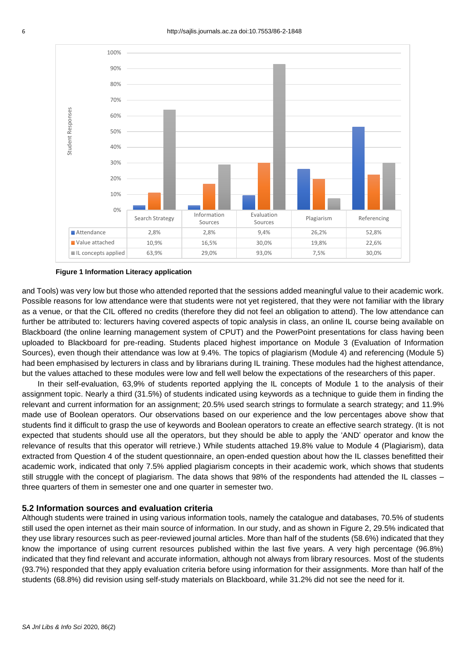

**Figure 1 Information Literacy application**

and Tools) was very low but those who attended reported that the sessions added meaningful value to their academic work. Possible reasons for low attendance were that students were not yet registered, that they were not familiar with the library as a venue, or that the CIL offered no credits (therefore they did not feel an obligation to attend). The low attendance can further be attributed to: lecturers having covered aspects of topic analysis in class, an online IL course being available on Blackboard (the online learning management system of CPUT) and the PowerPoint presentations for class having been uploaded to Blackboard for pre-reading. Students placed highest importance on Module 3 (Evaluation of Information Sources), even though their attendance was low at 9.4%. The topics of plagiarism (Module 4) and referencing (Module 5) had been emphasised by lecturers in class and by librarians during IL training. These modules had the highest attendance, but the values attached to these modules were low and fell well below the expectations of the researchers of this paper.

In their self-evaluation, 63,9% of students reported applying the IL concepts of Module 1 to the analysis of their assignment topic. Nearly a third (31.5%) of students indicated using keywords as a technique to guide them in finding the relevant and current information for an assignment; 20.5% used search strings to formulate a search strategy; and 11.9% made use of Boolean operators. Our observations based on our experience and the low percentages above show that students find it difficult to grasp the use of keywords and Boolean operators to create an effective search strategy. (It is not expected that students should use all the operators, but they should be able to apply the 'AND' operator and know the relevance of results that this operator will retrieve.) While students attached 19.8% value to Module 4 (Plagiarism), data extracted from Question 4 of the student questionnaire, an open-ended question about how the IL classes benefitted their academic work, indicated that only 7.5% applied plagiarism concepts in their academic work, which shows that students still struggle with the concept of plagiarism. The data shows that 98% of the respondents had attended the IL classes – three quarters of them in semester one and one quarter in semester two.

### **5.2 Information sources and evaluation criteria**

Although students were trained in using various information tools, namely the catalogue and databases, 70.5% of students still used the open internet as their main source of information. In our study, and as shown in Figure 2, 29.5% indicated that they use library resources such as peer-reviewed journal articles. More than half of the students (58.6%) indicated that they know the importance of using current resources published within the last five years. A very high percentage (96.8%) indicated that they find relevant and accurate information, although not always from library resources. Most of the students (93.7%) responded that they apply evaluation criteria before using information for their assignments. More than half of the students (68.8%) did revision using self-study materials on Blackboard, while 31.2% did not see the need for it.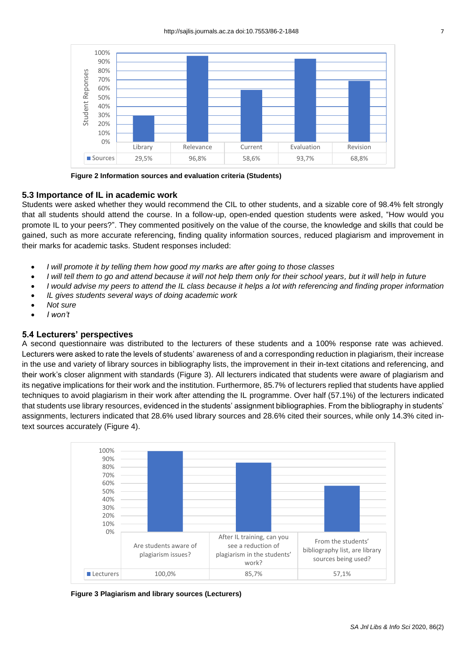

**Figure 2 Information sources and evaluation criteria (Students)**

#### **5.3 Importance of IL in academic work**

Students were asked whether they would recommend the CIL to other students, and a sizable core of 98.4% felt strongly that all students should attend the course. In a follow-up, open-ended question students were asked, "How would you promote IL to your peers?". They commented positively on the value of the course, the knowledge and skills that could be gained, such as more accurate referencing, finding quality information sources, reduced plagiarism and improvement in their marks for academic tasks. Student responses included:

- *I will promote it by telling them how good my marks are after going to those classes*
- *I will tell them to go and attend because it will not help them only for their school years, but it will help in future*
- *I would advise my peers to attend the IL class because it helps a lot with referencing and finding proper information*
- *IL gives students several ways of doing academic work*
- *Not sure*
- *I won't*

#### **5.4 Lecturers' perspectives**

A second questionnaire was distributed to the lecturers of these students and a 100% response rate was achieved. Lecturers were asked to rate the levels of students' awareness of and a corresponding reduction in plagiarism, their increase in the use and variety of library sources in bibliography lists, the improvement in their in-text citations and referencing, and their work's closer alignment with standards (Figure 3). All lecturers indicated that students were aware of plagiarism and its negative implications for their work and the institution. Furthermore, 85.7% of lecturers replied that students have applied techniques to avoid plagiarism in their work after attending the IL programme. Over half (57.1%) of the lecturers indicated that students use library resources, evidenced in the students' assignment bibliographies. From the bibliography in students' assignments, lecturers indicated that 28.6% used library sources and 28.6% cited their sources, while only 14.3% cited intext sources accurately (Figure 4).



**Figure 3 Plagiarism and library sources (Lecturers)**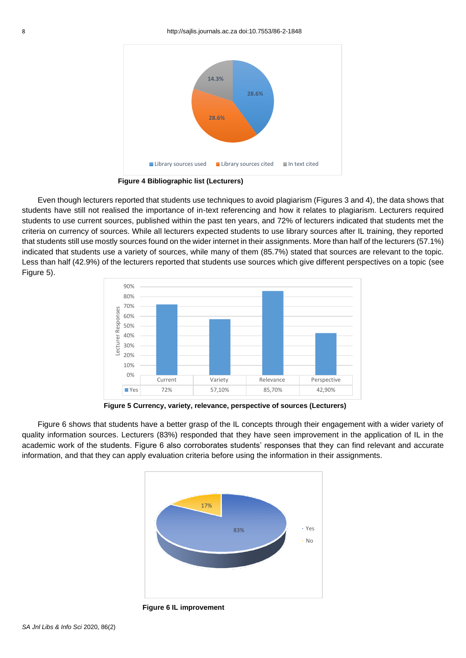

**Figure 4 Bibliographic list (Lecturers)**

Even though lecturers reported that students use techniques to avoid plagiarism (Figures 3 and 4), the data shows that students have still not realised the importance of in-text referencing and how it relates to plagiarism. Lecturers required students to use current sources, published within the past ten years, and 72% of lecturers indicated that students met the criteria on currency of sources. While all lecturers expected students to use library sources after IL training, they reported that students still use mostly sources found on the wider internet in their assignments. More than half of the lecturers (57.1%) indicated that students use a variety of sources, while many of them (85.7%) stated that sources are relevant to the topic. Less than half (42.9%) of the lecturers reported that students use sources which give different perspectives on a topic (see Figure 5).



**Figure 5 Currency, variety, relevance, perspective of sources (Lecturers)**

Figure 6 shows that students have a better grasp of the IL concepts through their engagement with a wider variety of quality information sources. Lecturers (83%) responded that they have seen improvement in the application of IL in the academic work of the students. Figure 6 also corroborates students' responses that they can find relevant and accurate information, and that they can apply evaluation criteria before using the information in their assignments.



**Figure 6 IL improvement**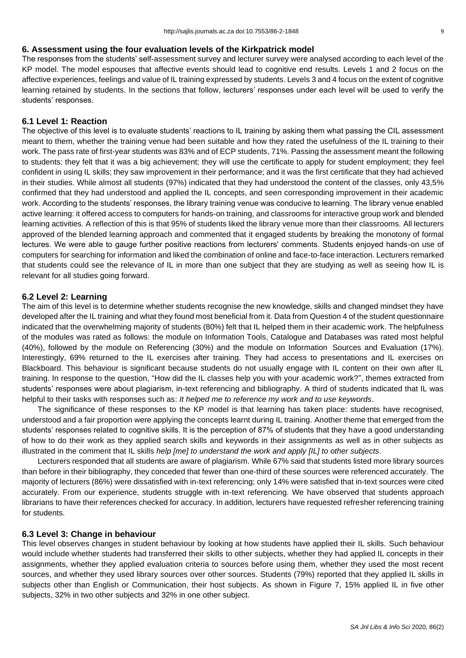# **6. Assessment using the four evaluation levels of the Kirkpatrick model**

The responses from the students' self-assessment survey and lecturer survey were analysed according to each level of the KP model. The model espouses that affective events should lead to cognitive end results. Levels 1 and 2 focus on the affective experiences, feelings and value of IL training expressed by students. Levels 3 and 4 focus on the extent of cognitive learning retained by students. In the sections that follow, lecturers' responses under each level will be used to verify the students' responses.

## **6.1 Level 1: Reaction**

The objective of this level is to evaluate students' reactions to IL training by asking them what passing the CIL assessment meant to them, whether the training venue had been suitable and how they rated the usefulness of the IL training to their work. The pass rate of first-year students was 83% and of ECP students, 71%. Passing the assessment meant the following to students: they felt that it was a big achievement; they will use the certificate to apply for student employment; they feel confident in using IL skills; they saw improvement in their performance; and it was the first certificate that they had achieved in their studies. While almost all students (97%) indicated that they had understood the content of the classes, only 43,5% confirmed that they had understood and applied the IL concepts, and seen corresponding improvement in their academic work. According to the students' responses, the library training venue was conducive to learning. The library venue enabled active learning: it offered access to computers for hands-on training, and classrooms for interactive group work and blended learning activities. A reflection of this is that 95% of students liked the library venue more than their classrooms. All lecturers approved of the blended learning approach and commented that it engaged students by breaking the monotony of formal lectures. We were able to gauge further positive reactions from lecturers' comments. Students enjoyed hands-on use of computers for searching for information and liked the combination of online and face-to-face interaction. Lecturers remarked that students could see the relevance of IL in more than one subject that they are studying as well as seeing how IL is relevant for all studies going forward.

## **6.2 Level 2: Learning**

The aim of this level is to determine whether students recognise the new knowledge, skills and changed mindset they have developed after the IL training and what they found most beneficial from it. Data from Question 4 of the student questionnaire indicated that the overwhelming majority of students (80%) felt that IL helped them in their academic work. The helpfulness of the modules was rated as follows: the module on Information Tools, Catalogue and Databases was rated most helpful (40%), followed by the module on Referencing (30%) and the module on Information Sources and Evaluation (17%). Interestingly, 69% returned to the IL exercises after training. They had access to presentations and IL exercises on Blackboard. This behaviour is significant because students do not usually engage with IL content on their own after IL training. In response to the question, "How did the IL classes help you with your academic work?", themes extracted from students' responses were about plagiarism, in-text referencing and bibliography. A third of students indicated that IL was helpful to their tasks with responses such as: *It helped me to reference my work and to use keywords*.

The significance of these responses to the KP model is that learning has taken place: students have recognised, understood and a fair proportion were applying the concepts learnt during IL training. Another theme that emerged from the students' responses related to cognitive skills. It is the perception of 87% of students that they have a good understanding of how to do their work as they applied search skills and keywords in their assignments as well as in other subjects as illustrated in the comment that IL skills *help [me] to understand the work and apply [IL] to other subjects*.

Lecturers responded that all students are aware of plagiarism. While 67% said that students listed more library sources than before in their bibliography, they conceded that fewer than one-third of these sources were referenced accurately. The majority of lecturers (86%) were dissatisfied with in-text referencing; only 14% were satisfied that in-text sources were cited accurately. From our experience, students struggle with in-text referencing. We have observed that students approach librarians to have their references checked for accuracy. In addition, lecturers have requested refresher referencing training for students.

### **6.3 Level 3: Change in behaviour**

This level observes changes in student behaviour by looking at how students have applied their IL skills. Such behaviour would include whether students had transferred their skills to other subjects, whether they had applied IL concepts in their assignments, whether they applied evaluation criteria to sources before using them, whether they used the most recent sources, and whether they used library sources over other sources. Students (79%) reported that they applied IL skills in subjects other than English or Communication, their host subjects. As shown in Figure 7, 15% applied IL in five other subjects, 32% in two other subjects and 32% in one other subject.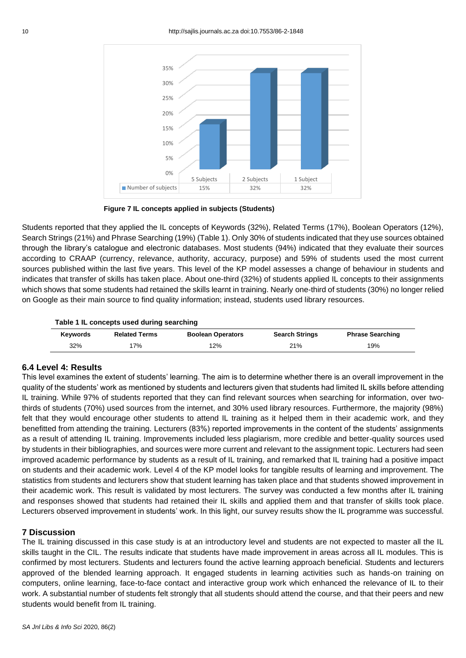

**Figure 7 IL concepts applied in subjects (Students)**

Students reported that they applied the IL concepts of Keywords (32%), Related Terms (17%), Boolean Operators (12%), Search Strings (21%) and Phrase Searching (19%) (Table 1). Only 30% of students indicated that they use sources obtained through the library's catalogue and electronic databases. Most students (94%) indicated that they evaluate their sources according to CRAAP (currency, relevance, authority, accuracy, purpose) and 59% of students used the most current sources published within the last five years. This level of the KP model assesses a change of behaviour in students and indicates that transfer of skills has taken place. About one-third (32%) of students applied IL concepts to their assignments which shows that some students had retained the skills learnt in training. Nearly one-third of students (30%) no longer relied on Google as their main source to find quality information; instead, students used library resources.

#### **Table 1 IL concepts used during searching**

| <b>Kevwords</b> | <b>Related Terms</b> | <b>Boolean Operators</b> | <b>Search Strings</b> | <b>Phrase Searching</b> |
|-----------------|----------------------|--------------------------|-----------------------|-------------------------|
| 32%             | 7%                   | $12\%$                   | 21%                   | 19%                     |

### **6.4 Level 4: Results**

This level examines the extent of students' learning. The aim is to determine whether there is an overall improvement in the quality of the students' work as mentioned by students and lecturers given that students had limited IL skills before attending IL training. While 97% of students reported that they can find relevant sources when searching for information, over twothirds of students (70%) used sources from the internet, and 30% used library resources. Furthermore, the majority (98%) felt that they would encourage other students to attend IL training as it helped them in their academic work, and they benefitted from attending the training. Lecturers (83%) reported improvements in the content of the students' assignments as a result of attending IL training. Improvements included less plagiarism, more credible and better-quality sources used by students in their bibliographies, and sources were more current and relevant to the assignment topic. Lecturers had seen improved academic performance by students as a result of IL training, and remarked that IL training had a positive impact on students and their academic work. Level 4 of the KP model looks for tangible results of learning and improvement. The statistics from students and lecturers show that student learning has taken place and that students showed improvement in their academic work. This result is validated by most lecturers. The survey was conducted a few months after IL training and responses showed that students had retained their IL skills and applied them and that transfer of skills took place. Lecturers observed improvement in students' work. In this light, our survey results show the IL programme was successful.

### **7 Discussion**

The IL training discussed in this case study is at an introductory level and students are not expected to master all the IL skills taught in the CIL. The results indicate that students have made improvement in areas across all IL modules. This is confirmed by most lecturers. Students and lecturers found the active learning approach beneficial. Students and lecturers approved of the blended learning approach. It engaged students in learning activities such as hands-on training on computers, online learning, face-to-face contact and interactive group work which enhanced the relevance of IL to their work. A substantial number of students felt strongly that all students should attend the course, and that their peers and new students would benefit from IL training.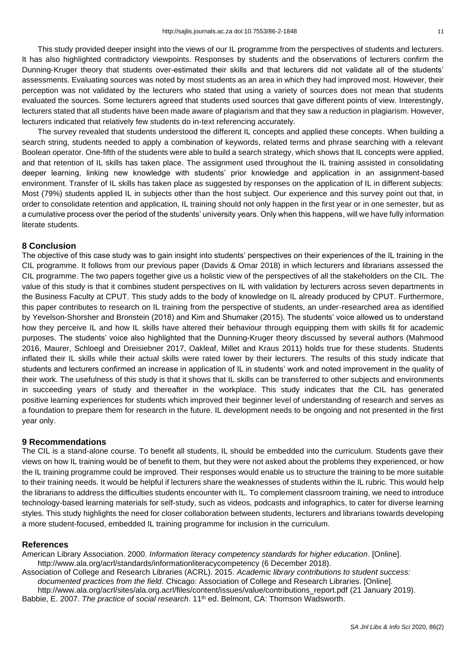This study provided deeper insight into the views of our IL programme from the perspectives of students and lecturers. It has also highlighted contradictory viewpoints. Responses by students and the observations of lecturers confirm the Dunning-Kruger theory that students over-estimated their skills and that lecturers did not validate all of the students' assessments. Evaluating sources was noted by most students as an area in which they had improved most. However, their perception was not validated by the lecturers who stated that using a variety of sources does not mean that students evaluated the sources. Some lecturers agreed that students used sources that gave different points of view. Interestingly, lecturers stated that all students have been made aware of plagiarism and that they saw a reduction in plagiarism. However, lecturers indicated that relatively few students do in-text referencing accurately.

The survey revealed that students understood the different IL concepts and applied these concepts. When building a search string, students needed to apply a combination of keywords, related terms and phrase searching with a relevant Boolean operator. One-fifth of the students were able to build a search strategy, which shows that IL concepts were applied, and that retention of IL skills has taken place. The assignment used throughout the IL training assisted in consolidating deeper learning, linking new knowledge with students' prior knowledge and application in an assignment-based environment. Transfer of IL skills has taken place as suggested by responses on the application of IL in different subjects: Most (79%) students applied IL in subjects other than the host subject. Our experience and this survey point out that, in order to consolidate retention and application, IL training should not only happen in the first year or in one semester, but as a cumulative process over the period of the students' university years. Only when this happens, will we have fully information literate students.

### **8 Conclusion**

The objective of this case study was to gain insight into students' perspectives on their experiences of the IL training in the CIL programme. It follows from our previous paper (Davids & Omar 2018) in which lecturers and librarians assessed the CIL programme. The two papers together give us a holistic view of the perspectives of all the stakeholders on the CIL. The value of this study is that it combines student perspectives on IL with validation by lecturers across seven departments in the Business Faculty at CPUT. This study adds to the body of knowledge on IL already produced by CPUT. Furthermore, this paper contributes to research on IL training from the perspective of students, an under-researched area as identified by Yevelson-Shorsher and Bronstein (2018) and Kim and Shumaker (2015). The students' voice allowed us to understand how they perceive IL and how IL skills have altered their behaviour through equipping them with skills fit for academic purposes. The students' voice also highlighted that the Dunning-Kruger theory discussed by several authors (Mahmood 2016, Maurer, Schloegl and Dreisiebner 2017, Oakleaf, Millet and Kraus 2011) holds true for these students. Students inflated their IL skills while their actual skills were rated lower by their lecturers. The results of this study indicate that students and lecturers confirmed an increase in application of IL in students' work and noted improvement in the quality of their work. The usefulness of this study is that it shows that IL skills can be transferred to other subjects and environments in succeeding years of study and thereafter in the workplace. This study indicates that the CIL has generated positive learning experiences for students which improved their beginner level of understanding of research and serves as a foundation to prepare them for research in the future. IL development needs to be ongoing and not presented in the first year only.

#### **9 Recommendations**

The CIL is a stand-alone course. To benefit all students, IL should be embedded into the curriculum. Students gave their views on how IL training would be of benefit to them, but they were not asked about the problems they experienced, or how the IL training programme could be improved. Their responses would enable us to structure the training to be more suitable to their training needs. It would be helpful if lecturers share the weaknesses of students within the IL rubric. This would help the librarians to address the difficulties students encounter with IL. To complement classroom training, we need to introduce technology-based learning materials for self-study, such as videos, podcasts and infographics, to cater for diverse learning styles. This study highlights the need for closer collaboration between students, lecturers and librarians towards developing a more student-focused, embedded IL training programme for inclusion in the curriculum.

#### **References**

American Library Association. 2000. *Information literacy competency standards for higher education*. [Online]. <http://www.ala.org/acrl/standards/informationliteracycompetency> (6 December 2018).

Association of College and Research Libraries (ACRL). 2015. *Academic library contributions to student success: documented practices from the field*. Chicago: Association of College and Research Libraries. [Online]. [http://www.ala.org/acrl/sites/ala.org.acrl/files/content/issues/value/contributions\\_report.pdf](http://www.ala.org/acrl/sites/ala.org.acrl/files/content/issues/value/contributions_report.pdf) (21 January 2019).

Babbie, E. 2007. *The practice of social research*. 11<sup>th</sup> ed. Belmont, CA: Thomson Wadsworth.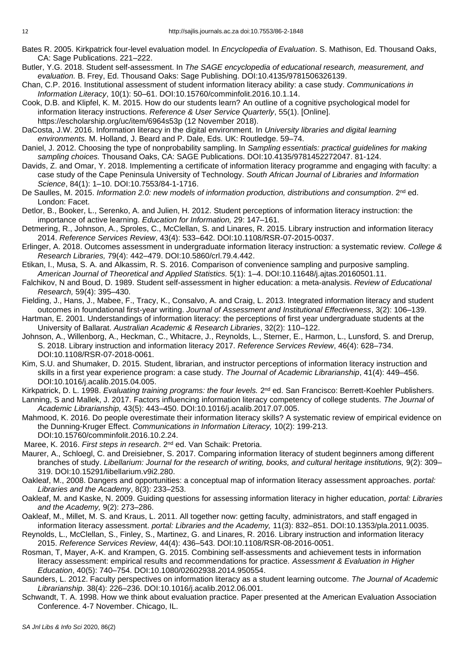- Bates R. 2005. Kirkpatrick four-level evaluation model. In *Encyclopedia of Evaluation*. S. Mathison, Ed. Thousand Oaks, CA: Sage Publications. 221–222.
- Butler, Y.G. 2018. Student self-assessment. In *The SAGE encyclopedia of educational research, measurement, and evaluation.* B. Frey, Ed. Thousand Oaks: Sage Publishing. DOI[:10.4135/9781506326139.](https://dx.doi.org/10.4135/9781506326139)
- Chan, C.P. 2016. Institutional assessment of student information literacy ability: a case study. *Communications in Information Literacy*, 10(1): 50–61. DOI[:10.15760/comminfolit.2016.10.1.14.](https://doi.org/10.15760/comminfolit.2016.10.1.14)
- Cook, D.B. and Klipfel, K. M. 2015. How do our students learn? An outline of a cognitive psychological model for information literacy instructions. *Reference & User Service Quarterly*, 55(1). [Online]. <https://escholarship.org/uc/item/6964s53p> (12 November 2018).
- DaCosta, J.W. 2016. Information literacy in the digital environment. In *University libraries and digital learning environments.* M. Holland, J. Beard and P. Dale, Eds. UK: Routledge. 59–74.
- Daniel, J. 2012. Choosing the type of nonprobability sampling. In *Sampling essentials: practical guidelines for making sampling choices.* Thousand Oaks, CA: SAGE Publications. DOI[:10.4135/9781452272047.](https://methods.sagepub.com/book/sampling-essentials) 81-124.
- Davids, Z. and Omar, Y. 2018. Implementing a certificate of information literacy programme and engaging with faculty: a case study of the Cape Peninsula University of Technology. *South African Journal of Libraries and Information Science*, 84(1): 1–10. DOI:10.7553/84-1-1716.
- De Saulles, M. 2015. Information 2.0: new models of information production, distributions and consumption. 2<sup>nd</sup> ed. London: Facet.
- Detlor, B., Booker, L., Serenko, A. and Julien, H. 2012. Student perceptions of information literacy instruction: the importance of active learning. *Education for Information,* 29: 147–161.
- Detmering, R., Johnson, A., Sproles, C., McClellan, S. and Linares, R. 2015. Library instruction and information literacy 2014. *Reference Services Review*, 43(4): 533–642. DOI[:10.1108/RSR-07-2015-0037.](https://doi.org/10.1108/RSR-07-2015-0037)
- Erlinger, A. 2018. Outcomes assessment in undergraduate information literacy instruction: a systematic review. *College & Research Libraries,* 79(4): 442–479. DOI[:10.5860/crl.79.4.442.](https://doi.org/10.5860/crl.79.4.442)
- Etikan, I., Musa, S. A. and Alkassim, R. S. 2016. Comparison of convenience sampling and purposive sampling. *American Journal of Theoretical and Applied Statistics.* 5(1): 1–4. DOI[:10.11648/j.ajtas.20160501.11.](http://www.sciencepublishinggroup.com/journal/paperinfo?journalid=146&doi=10.11648/j.ajtas.20160501.11)
- Falchikov, N and Boud, D. 1989. Student self-assessment in higher education: a meta-analysis. *Review of Educational Research,* 59(4): 395–430.
- Fielding, J., Hans, J., Mabee, F., Tracy, K., Consalvo, A. and Craig, L. 2013. Integrated information literacy and student outcomes in foundational first-year writing. *Journal of Assessment and Institutional Effectiveness*, 3(2): 106–139.
- Hartman, E. 2001. Understandings of information literacy: the perceptions of first year undergraduate students at the University of Ballarat. *Australian Academic & Research Libraries*, 32(2): 110–122.
- Johnson, A., Willenborg, A., Heckman, C., Whitacre, J., Reynolds, L., Sterner, E., Harmon, L., Lunsford, S. and Drerup, S. 2018. Library instruction and information literacy 2017. *Reference Services Review*, 46(4): 628–734. DOI[:10.1108/RSR-07-2018-0061.](https://doi.org/10.1108/RSR-07-2018-0061)
- Kim, S.U. and Shumaker, D. 2015. Student, librarian, and instructor perceptions of information literacy instruction and skills in a first year experience program: a case study. *The Journal of Academic Librarianship*, 41(4): 449–456. DOI[:10.1016/j.acalib.2015.04.005.](https://doi.org/10.1016/j.acalib.2015.04.005)
- Kirkpatrick, D. L. 1998. *Evaluating training programs: the four levels.* 2<sup>nd</sup> ed. San Francisco: Berrett-Koehler Publishers.
- Lanning, S and Mallek, J. 2017. Factors influencing information literacy competency of college students. *The Journal of Academic Librarianship,* 43(5): 443–450. DOI[:10.1016/j.acalib.2017.07.005.](http://dx.doi.org/10.1016/j.acalib.2017.07.005)
- Mahmood, K. 2016. Do people overestimate their information literacy skills? A systematic review of empirical evidence on the Dunning-Kruger Effect. *Communications in Information Literacy,* 10(2): 199-213. DOI[:10.15760/comminfolit.2016.10.2.24.](https://doi.org/10.15760/comminfolit.2016.10.2.24)
- Maree, K. 2016. *First steps in research*. 2nd ed. Van Schaik: Pretoria.
- Maurer, A., Schloegl, C. and Dreisiebner, S. 2017. Comparing information literacy of student beginners among different branches of study. *Libellarium: Journal for the research of writing, books, and cultural heritage institutions, 9(2): 309–* 319. DOI[:10.15291/libellarium.v9i2.280.](http://dx.doi.org/10.15291/libellarium.v9i2.280)
- Oakleaf, M., 2008. Dangers and opportunities: a conceptual map of information literacy assessment approaches. *portal: Libraries and the Academy*, 8(3): 233–253.
- Oakleaf, M. and Kaske, N. 2009. Guiding questions for assessing information literacy in higher education, *portal: Libraries and the Academy,* 9(2): 273–286.
- Oakleaf, M., Millet, M. S. and Kraus, L. 2011. All together now: getting faculty, administrators, and staff engaged in information literacy assessment. *portal: Libraries and the Academy,* 11(3): 832–851. DOI[:10.1353/pla.2011.0035.](https://doi.org/10.1353/pla.2011.0035)
- Reynolds, L., McClellan, S., Finley, S., Martinez, G. and Linares, R. 2016. Library instruction and information literacy 2015. *Reference Services Review*, 44(4): 436–543. DOI[:10.1108/RSR-08-2016-0051.](https://doi.org/10.1108/RSR-08-2016-0051)
- Rosman, T, Mayer, A-K. and Krampen, G. 2015. Combining self-assessments and achievement tests in information literacy assessment: empirical results and recommendations for practice. *Assessment & Evaluation in Higher Education*, 40(5): 740–754. DOI[:10.1080/02602938.2014.950554.](http://dx.doi.org/10.1080/02602938.2014.950554)
- Saunders, L. 2012. Faculty perspectives on information literacy as a student learning outcome. *The Journal of Academic Librarianship*. 38(4): 226–236. DOI[:10.1016/j.acalib.2012.06.001.](https://doi.org/10.1016/j.acalib.2012.06.001)
- Schwandt, T. A. 1998. How we think about evaluation practice. Paper presented at the American Evaluation Association Conference. 4-7 November. Chicago, IL.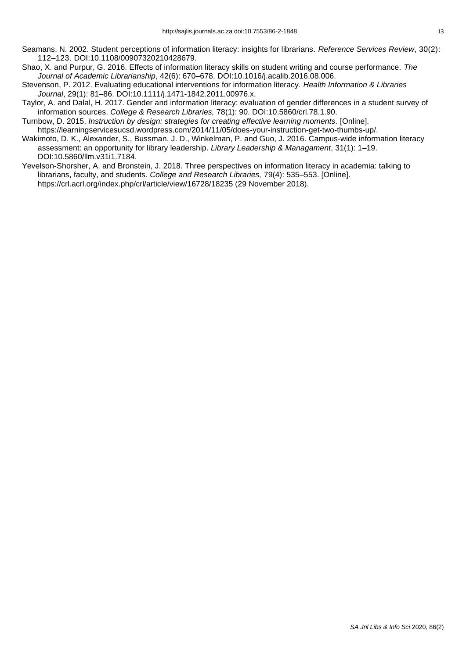- [Seamans,](https://www.emeraldinsight.com/author/Seamans%2C+Nancy+H) N. 2002. Student perceptions of information literacy: insights for librarians. *Reference Services Review*, 30(2): 112–123. DOI[:10.1108/00907320210428679.](https://doi.org/10.1108/00907320210428679)
- Shao, X. and Purpur, G. 2016. Effects of information literacy skills on student writing and course performance. *The Journal of Academic Librarianship*, 42(6): 670–678. DOI[:10.1016/j.acalib.2016.08.006.](https://doi.org/10.1016/j.acalib.2016.08.006)
- Stevenson, P. 2012. Evaluating educational interventions for information literacy. *Health Information & Libraries Journal*, 29(1): 81–86. DOI[:10.1111/j.1471-1842.2011.00976.x.](https://onlinelibrary.wiley.com/doi/pdf/10.1111/j.1471-1842.2011.00976.x)
- Taylor, A. and Dalal, H. 2017. Gender and information literacy: evaluation of gender differences in a student survey of information sources. *College & Research Libraries,* 78(1): 90. DOI[:10.5860/crl.78.1.90.](https://doi.org/10.5860/crl.78.1.90)
- Turnbow, D. 2015. *Instruction by design: strategies for creating effective learning moments*. [Online]. [https://learningservicesucsd.wordpress.com/2014/11/05/does-your-instruction-get-two-thumbs-up/.](https://learningservicesucsd.wordpress.com/2014/11/05/does-your-instruction-get-two-thumbs-up/)
- [Wakimoto, D. K.](https://search-proquest-com.libproxy.cput.ac.za/indexinglinkhandler/sng/au/Wakimoto,+Diana+K/$N?accountid=26862), [Alexander, S.](https://search-proquest-com.libproxy.cput.ac.za/indexinglinkhandler/sng/au/Alexander,+Stephanie/$N?accountid=26862), [Bussman, J. D.](https://search-proquest-com.libproxy.cput.ac.za/indexinglinkhandler/sng/au/Bussman,+Jeffra+Diane/$N?accountid=26862), [Winkelman, P.](https://search-proquest-com.libproxy.cput.ac.za/indexinglinkhandler/sng/au/Winkelman,+Peg/$N?accountid=26862) and [Guo, J.](https://search-proquest-com.libproxy.cput.ac.za/indexinglinkhandler/sng/au/Guo,+Jiansheng/$N?accountid=26862) 2016. [Campus-wide information literacy](https://journals.tdl.org/llm/index.php/llm/article/view/7184)  [assessment: an opportunity for library leadership.](https://journals.tdl.org/llm/index.php/llm/article/view/7184) *Library Leadership & Managament*, 31(1): 1–19. DOI[:10.5860/llm.v31i1.7184.](https://doi.org/10.5860/llm.v31i1.7184)
- Yevelson-Shorsher, A. and Bronstein, J. 2018. Three perspectives on information literacy in academia: talking to librarians, faculty, and students. *College and Research Libraries,* 79(4): 535–553. [Online]. <https://crl.acrl.org/index.php/crl/article/view/16728/18235> (29 November 2018).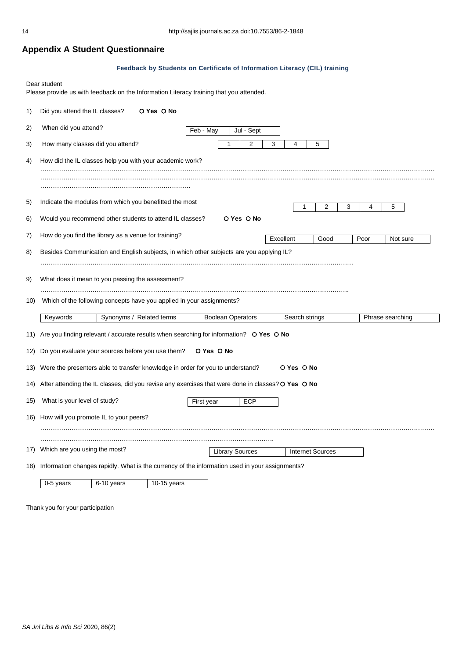# **Appendix A Student Questionnaire**

#### **Feedback by Students on Certificate of Information Literacy (CIL) training**

Dear student

Please provide us with feedback on the Information Literacy training that you attended.

| 1)  | Did you attend the IL classes?                                                                     |  | O Yes O No               |           |                          |  |           |                |                         |   |      |                  |  |
|-----|----------------------------------------------------------------------------------------------------|--|--------------------------|-----------|--------------------------|--|-----------|----------------|-------------------------|---|------|------------------|--|
| 2)  | When did you attend?                                                                               |  |                          | Feb - May | Jul - Sept               |  |           |                |                         |   |      |                  |  |
| 3)  | 3<br>How many classes did you attend?<br>2<br>4<br>5                                               |  |                          |           |                          |  |           |                |                         |   |      |                  |  |
| 4)  | How did the IL classes help you with your academic work?                                           |  |                          |           |                          |  |           |                |                         |   |      |                  |  |
|     |                                                                                                    |  |                          |           |                          |  |           |                |                         |   |      |                  |  |
| 5)  | Indicate the modules from which you benefitted the most                                            |  |                          |           |                          |  |           |                | 2                       | 3 | 4    | 5                |  |
| 6)  | Would you recommend other students to attend IL classes?                                           |  |                          |           | O Yes O No               |  |           |                |                         |   |      |                  |  |
| 7)  | How do you find the library as a venue for training?                                               |  |                          |           |                          |  | Excellent |                | Good                    |   | Poor | Not sure         |  |
| 8)  | Besides Communication and English subjects, in which other subjects are you applying IL?           |  |                          |           |                          |  |           |                |                         |   |      |                  |  |
| 9)  | What does it mean to you passing the assessment?                                                   |  |                          |           |                          |  |           |                |                         |   |      |                  |  |
|     |                                                                                                    |  |                          |           |                          |  |           |                |                         |   |      |                  |  |
| 10) | Which of the following concepts have you applied in your assignments?                              |  |                          |           |                          |  |           |                |                         |   |      |                  |  |
|     | Keywords                                                                                           |  | Synonyms / Related terms |           | <b>Boolean Operators</b> |  |           | Search strings |                         |   |      | Phrase searching |  |
| 11) | Are you finding relevant / accurate results when searching for information? O Yes O No             |  |                          |           |                          |  |           |                |                         |   |      |                  |  |
| 12) | Do you evaluate your sources before you use them?                                                  |  |                          |           | O Yes O No               |  |           |                |                         |   |      |                  |  |
| 13) | Were the presenters able to transfer knowledge in order for you to understand?<br>O Yes O No       |  |                          |           |                          |  |           |                |                         |   |      |                  |  |
| 14) | After attending the IL classes, did you revise any exercises that were done in classes? O Yes O No |  |                          |           |                          |  |           |                |                         |   |      |                  |  |
| 15) | What is your level of study?<br>ECP<br>First year                                                  |  |                          |           |                          |  |           |                |                         |   |      |                  |  |
| 16) | How will you promote IL to your peers?                                                             |  |                          |           |                          |  |           |                |                         |   |      |                  |  |
|     |                                                                                                    |  |                          |           |                          |  |           |                |                         |   |      |                  |  |
| 17) | Which are you using the most?                                                                      |  |                          |           | <b>Library Sources</b>   |  |           |                | <b>Internet Sources</b> |   |      |                  |  |
| 18) | Information changes rapidly. What is the currency of the information used in your assignments?     |  |                          |           |                          |  |           |                |                         |   |      |                  |  |
|     | 6-10 years<br>0-5 years                                                                            |  | $10-15$ years            |           |                          |  |           |                |                         |   |      |                  |  |

Thank you for your participation